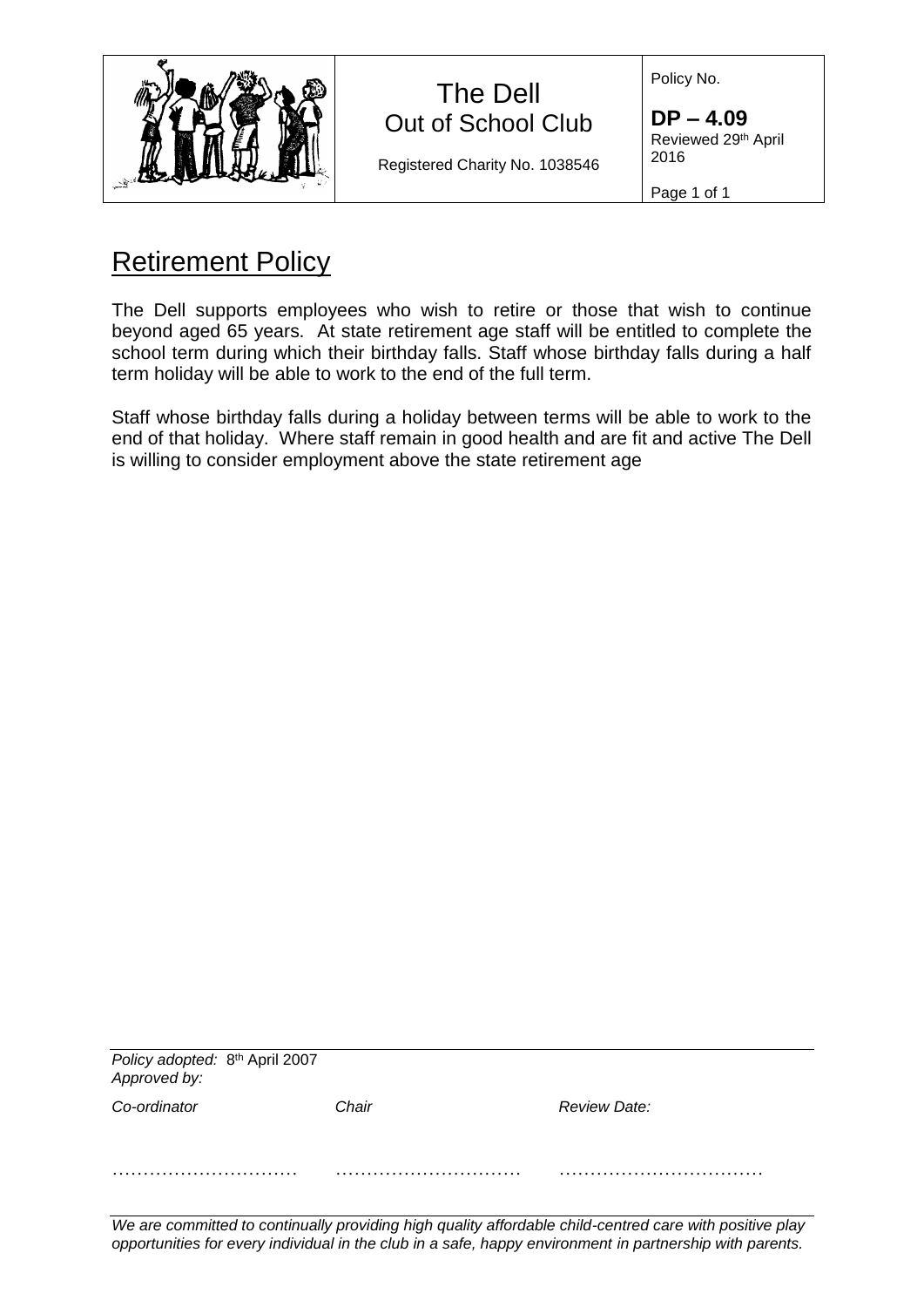| х |  |
|---|--|
|---|--|

## The Dell Out of School Club

Registered Charity No. 1038546

Policy No.

**DP – 4.09** Reviewed 29<sup>th</sup> April 2016

Page 1 of 1

## Retirement Policy

The Dell supports employees who wish to retire or those that wish to continue beyond aged 65 years. At state retirement age staff will be entitled to complete the school term during which their birthday falls. Staff whose birthday falls during a half term holiday will be able to work to the end of the full term.

Staff whose birthday falls during a holiday between terms will be able to work to the end of that holiday. Where staff remain in good health and are fit and active The Dell is willing to consider employment above the state retirement age

| Policy adopted: 8 <sup>th</sup> April 2007<br>Approved by: |       |              |
|------------------------------------------------------------|-------|--------------|
| Co-ordinator                                               | Chair | Review Date: |
|                                                            |       |              |

*We are committed to continually providing high quality affordable child-centred care with positive play opportunities for every individual in the club in a safe, happy environment in partnership with parents.*